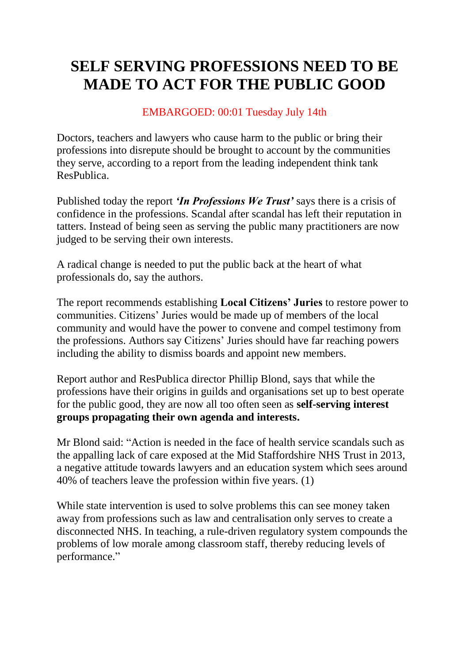# **SELF SERVING PROFESSIONS NEED TO BE MADE TO ACT FOR THE PUBLIC GOOD**

# EMBARGOED: 00:01 Tuesday July 14th

Doctors, teachers and lawyers who cause harm to the public or bring their professions into disrepute should be brought to account by the communities they serve, according to a report from the leading independent think tank ResPublica.

Published today the report *'In Professions We Trust'* says there is a crisis of confidence in the professions. Scandal after scandal has left their reputation in tatters. Instead of being seen as serving the public many practitioners are now judged to be serving their own interests.

A radical change is needed to put the public back at the heart of what professionals do, say the authors.

The report recommends establishing **Local Citizens' Juries** to restore power to communities. Citizens' Juries would be made up of members of the local community and would have the power to convene and compel testimony from the professions. Authors say Citizens' Juries should have far reaching powers including the ability to dismiss boards and appoint new members.

Report author and ResPublica director Phillip Blond, says that while the professions have their origins in guilds and organisations set up to best operate for the public good, they are now all too often seen as **self-serving interest groups propagating their own agenda and interests.**

Mr Blond said: "Action is needed in the face of health service scandals such as the appalling lack of care exposed at the Mid Staffordshire NHS Trust in 2013, a negative attitude towards lawyers and an education system which sees around 40% of teachers leave the profession within five years. (1)

While state intervention is used to solve problems this can see money taken away from professions such as law and centralisation only serves to create a disconnected NHS. In teaching, a rule-driven regulatory system compounds the problems of low morale among classroom staff, thereby reducing levels of performance."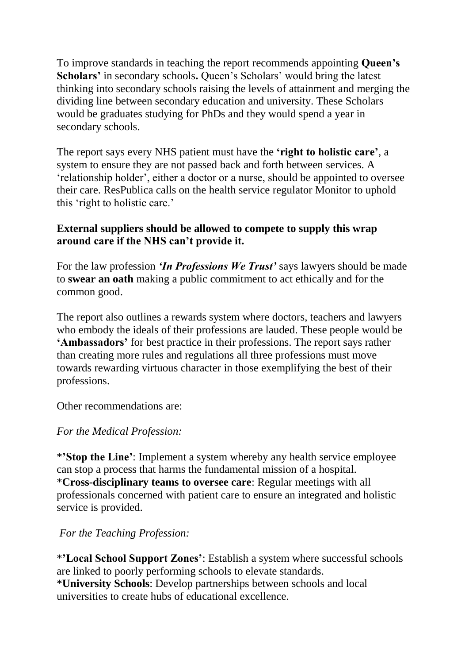To improve standards in teaching the report recommends appointing **Queen's Scholars'** in secondary schools**.** Queen's Scholars' would bring the latest thinking into secondary schools raising the levels of attainment and merging the dividing line between secondary education and university. These Scholars would be graduates studying for PhDs and they would spend a year in secondary schools.

The report says every NHS patient must have the **'right to holistic care'**, a system to ensure they are not passed back and forth between services. A 'relationship holder', either a doctor or a nurse, should be appointed to oversee their care. ResPublica calls on the health service regulator Monitor to uphold this 'right to holistic care.'

## **External suppliers should be allowed to compete to supply this wrap around care if the NHS can't provide it.**

For the law profession *'In Professions We Trust'* says lawyers should be made to **swear an oath** making a public commitment to act ethically and for the common good.

The report also outlines a rewards system where doctors, teachers and lawyers who embody the ideals of their professions are lauded. These people would be **'Ambassadors'** for best practice in their professions. The report says rather than creating more rules and regulations all three professions must move towards rewarding virtuous character in those exemplifying the best of their professions.

Other recommendations are:

### *For the Medical Profession:*

\***'Stop the Line'**: Implement a system whereby any health service employee can stop a process that harms the fundamental mission of a hospital. \***Cross-disciplinary teams to oversee care**: Regular meetings with all professionals concerned with patient care to ensure an integrated and holistic service is provided.

# *For the Teaching Profession:*

\***'Local School Support Zones'**: Establish a system where successful schools are linked to poorly performing schools to elevate standards. \***University Schools**: Develop partnerships between schools and local universities to create hubs of educational excellence.